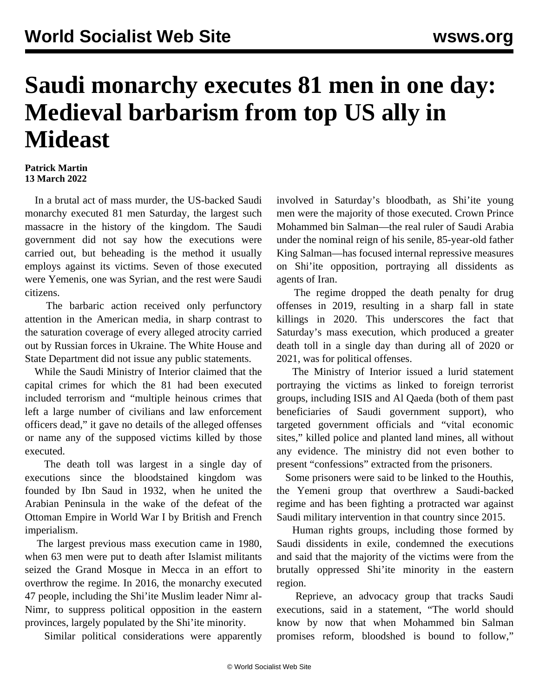## **Saudi monarchy executes 81 men in one day: Medieval barbarism from top US ally in Mideast**

## **Patrick Martin 13 March 2022**

 In a brutal act of mass murder, the US-backed Saudi monarchy executed 81 men Saturday, the largest such massacre in the history of the kingdom. The Saudi government did not say how the executions were carried out, but beheading is the method it usually employs against its victims. Seven of those executed were Yemenis, one was Syrian, and the rest were Saudi citizens.

 The barbaric action received only perfunctory attention in the American media, in sharp contrast to the saturation coverage of every alleged atrocity carried out by Russian forces in Ukraine. The White House and State Department did not issue any public statements.

 While the Saudi Ministry of Interior claimed that the capital crimes for which the 81 had been executed included terrorism and "multiple heinous crimes that left a large number of civilians and law enforcement officers dead," it gave no details of the alleged offenses or name any of the supposed victims killed by those executed.

 The death toll was largest in a single day of executions since the bloodstained kingdom was founded by Ibn Saud in 1932, when he united the Arabian Peninsula in the wake of the defeat of the Ottoman Empire in World War I by British and French imperialism.

 The largest previous mass execution came in 1980, when 63 men were put to death after Islamist militants seized the Grand Mosque in Mecca in an effort to overthrow the regime. In 2016, the monarchy executed 47 people, including the Shi'ite Muslim leader Nimr al-Nimr, to suppress political opposition in the eastern provinces, largely populated by the Shi'ite minority.

Similar political considerations were apparently

involved in Saturday's bloodbath, as Shi'ite young men were the majority of those executed. Crown Prince Mohammed bin Salman—the real ruler of Saudi Arabia under the nominal reign of his senile, 85-year-old father King Salman—has focused internal repressive measures on Shi'ite opposition, portraying all dissidents as agents of Iran.

 The regime dropped the death penalty for drug offenses in 2019, resulting in a sharp fall in state killings in 2020. This underscores the fact that Saturday's mass execution, which produced a greater death toll in a single day than during all of 2020 or 2021, was for political offenses.

 The Ministry of Interior issued a lurid statement portraying the victims as linked to foreign terrorist groups, including ISIS and Al Qaeda (both of them past beneficiaries of Saudi government support), who targeted government officials and "vital economic sites," killed police and planted land mines, all without any evidence. The ministry did not even bother to present "confessions" extracted from the prisoners.

 Some prisoners were said to be linked to the Houthis, the Yemeni group that overthrew a Saudi-backed regime and has been fighting a protracted war against Saudi military intervention in that country since 2015.

 Human rights groups, including those formed by Saudi dissidents in exile, condemned the executions and said that the majority of the victims were from the brutally oppressed Shi'ite minority in the eastern region.

 Reprieve, an advocacy group that tracks Saudi executions, said in a statement, "The world should know by now that when Mohammed bin Salman promises reform, bloodshed is bound to follow,"